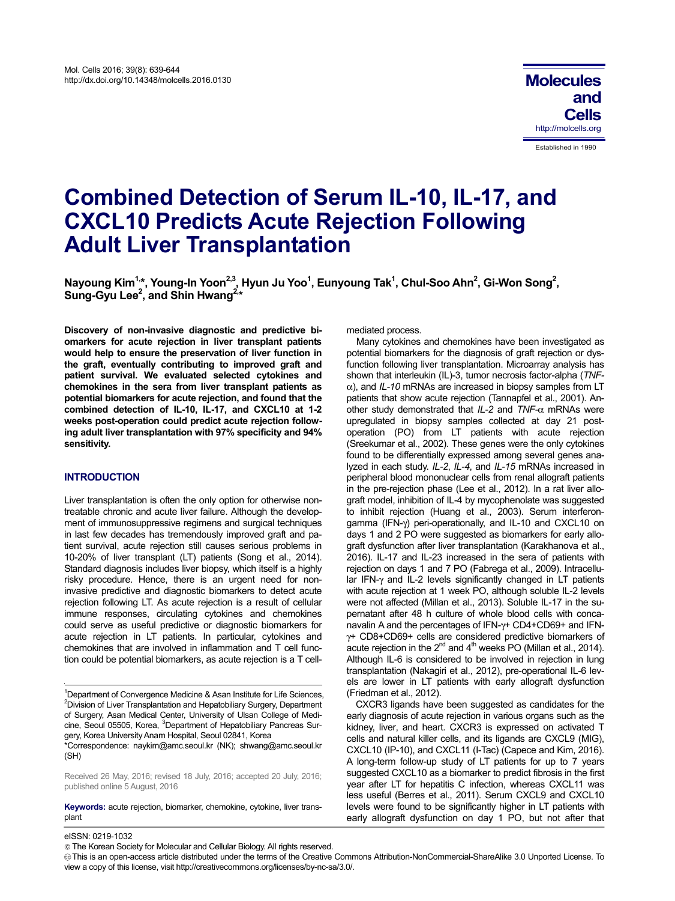# **Combined Detection of Serum IL-10, IL-17, and CXCL10 Predicts Acute Rejection Following Adult Liver Transplantation**

Nayoung Kim<sup>1,</sup>\*, Young-In Yoon<sup>2,3</sup>, Hyun Ju Yoo<sup>1</sup>, Eunyoung Tak<sup>1</sup>, Chul-Soo Ahn<sup>2</sup>, Gi-Won Song<sup>2</sup>, Sung-Gyu Lee<sup>2</sup>, and Shin Hwang<sup>2,\*</sup>

**Discovery of non-invasive diagnostic and predictive biomarkers for acute rejection in liver transplant patients would help to ensure the preservation of liver function in the graft, eventually contributing to improved graft and patient survival. We evaluated selected cytokines and chemokines in the sera from liver transplant patients as potential biomarkers for acute rejection, and found that the combined detection of IL-10, IL-17, and CXCL10 at 1-2 weeks post-operation could predict acute rejection following adult liver transplantation with 97% specificity and 94% sensitivity.** 

# **INTRODUCTION**

Liver transplantation is often the only option for otherwise nontreatable chronic and acute liver failure. Although the development of immunosuppressive regimens and surgical techniques in last few decades has tremendously improved graft and patient survival, acute rejection still causes serious problems in 10-20% of liver transplant (LT) patients (Song et al., 2014). Standard diagnosis includes liver biopsy, which itself is a highly risky procedure. Hence, there is an urgent need for noninvasive predictive and diagnostic biomarkers to detect acute rejection following LT. As acute rejection is a result of cellular immune responses, circulating cytokines and chemokines could serve as useful predictive or diagnostic biomarkers for acute rejection in LT patients. In particular, cytokines and chemokines that are involved in inflammation and T cell function could be potential biomarkers, as acute rejection is a T cell-

\*Correspondence: naykim@amc.seoul.kr (NK); shwang@amc.seoul.kr (SH)

Received 26 May, 2016; revised 18 July, 2016; accepted 20 July, 2016; published online 5 August, 2016

**Keywords:** acute rejection, biomarker, chemokine, cytokine, liver transplant :

mediated process.

Many cytokines and chemokines have been investigated as potential biomarkers for the diagnosis of graft rejection or dysfunction following liver transplantation. Microarray analysis has shown that interleukin (IL)-3, tumor necrosis factor-alpha (*TNF*α), and *IL-10* mRNAs are increased in biopsy samples from LT patients that show acute rejection (Tannapfel et al., 2001). Another study demonstrated that *IL-2* and *TNF-*α mRNAs were upregulated in biopsy samples collected at day 21 postoperation (PO) from LT patients with acute rejection (Sreekumar et al., 2002). These genes were the only cytokines found to be differentially expressed among several genes analyzed in each study. *IL-2*, *IL-4*, and *IL-15* mRNAs increased in peripheral blood mononuclear cells from renal allograft patients in the pre-rejection phase (Lee et al., 2012). In a rat liver allograft model, inhibition of IL-4 by mycophenolate was suggested to inhibit rejection (Huang et al., 2003). Serum interferongamma (IFN-γ) peri-operationally, and IL-10 and CXCL10 on days 1 and 2 PO were suggested as biomarkers for early allograft dysfunction after liver transplantation (Karakhanova et al., 2016). IL-17 and IL-23 increased in the sera of patients with rejection on days 1 and 7 PO (Fabrega et al., 2009). Intracellular IFN-γ and IL-2 levels significantly changed in LT patients with acute rejection at 1 week PO, although soluble IL-2 levels were not affected (Millan et al., 2013). Soluble IL-17 in the supernatant after 48 h culture of whole blood cells with concanavalin A and the percentages of IFN-γ+ CD4+CD69+ and IFNγ+ CD8+CD69+ cells are considered predictive biomarkers of acute rejection in the  $2^{nd}$  and  $4^{th}$  weeks PO (Millan et al., 2014). Although IL-6 is considered to be involved in rejection in lung transplantation (Nakagiri et al., 2012), pre-operational IL-6 levels are lower in LT patients with early allograft dysfunction (Friedman et al., 2012).

CXCR3 ligands have been suggested as candidates for the early diagnosis of acute rejection in various organs such as the kidney, liver, and heart. CXCR3 is expressed on activated T cells and natural killer cells, and its ligands are CXCL9 (MIG), CXCL10 (IP-10), and CXCL11 (I-Tac) (Capece and Kim, 2016). A long-term follow-up study of LT patients for up to 7 years suggested CXCL10 as a biomarker to predict fibrosis in the first year after LT for hepatitis C infection, whereas CXCL11 was less useful (Berres et al., 2011). Serum CXCL9 and CXCL10 levels were found to be significantly higher in LT patients with early allograft dysfunction on day 1 PO, but not after that

 $\overline{a}$ 

<sup>&</sup>lt;sup>1</sup>Department of Convergence Medicine & Asan Institute for Life Sciences, <sup>2</sup> Division of Liver Transplantation and Hepatobiliary Surgery, Department of Surgery, Asan Medical Center, University of Ulsan College of Medicine, Seoul 05505, Korea, <sup>3</sup>Department of Hepatobiliary Pancreas Surgery, Korea University Anam Hospital, Seoul 02841, Korea

eISSN: 0219-1032

The Korean Society for Molecular and Cellular Biology. All rights reserved.

This is an open-access article distributed under the terms of the Creative Commons Attribution-NonCommercial-ShareAlike 3.0 Unported License. To view a copy of this license, visit http://creativecommons.org/licenses/by-nc-sa/3.0/.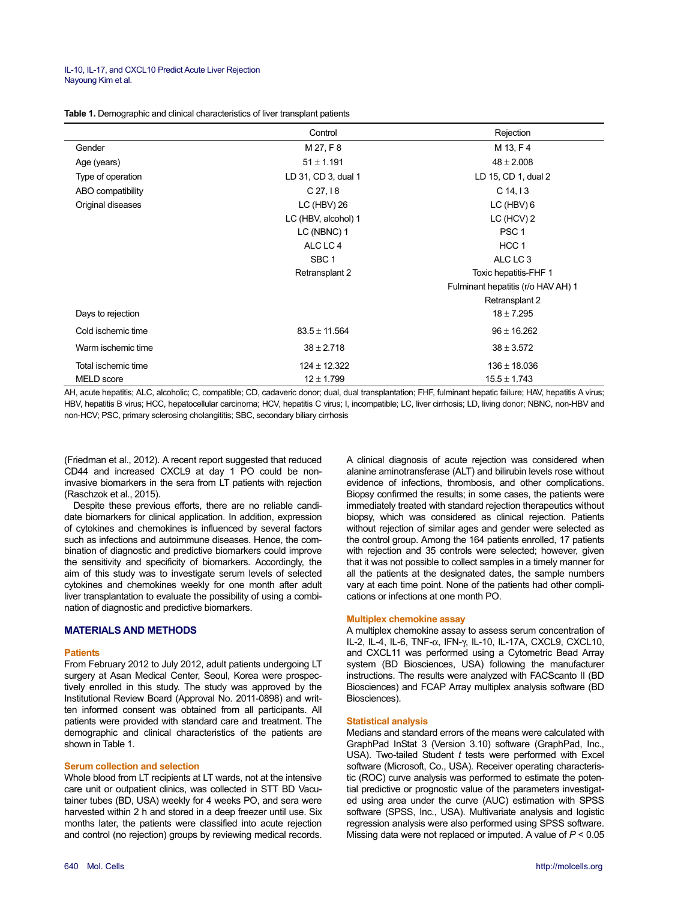| Table 1. Demographic and clinical characteristics of liver transplant patients |
|--------------------------------------------------------------------------------|
|--------------------------------------------------------------------------------|

|                     | Control             | Rejection                          |  |
|---------------------|---------------------|------------------------------------|--|
| Gender              | M 27, F 8           | M 13, F 4                          |  |
| Age (years)         | $51 \pm 1.191$      | $48 \pm 2.008$                     |  |
| Type of operation   | LD 31, CD 3, dual 1 | LD 15, CD 1, dual 2                |  |
| ABO compatibility   | C <sub>27,18</sub>  | $C$ 14, 13                         |  |
| Original diseases   | LC (HBV) 26         | $LC$ (HBV) $6$                     |  |
|                     | LC (HBV, alcohol) 1 | LC (HCV) 2                         |  |
|                     | LC (NBNC) 1         | PSC <sub>1</sub>                   |  |
|                     | ALC LC 4            | HCC <sub>1</sub>                   |  |
|                     | SBC <sub>1</sub>    | ALC LC 3                           |  |
|                     | Retransplant 2      | Toxic hepatitis-FHF 1              |  |
|                     |                     | Fulminant hepatitis (r/o HAV AH) 1 |  |
|                     |                     | Retransplant 2                     |  |
| Days to rejection   |                     | $18 \pm 7.295$                     |  |
| Cold ischemic time  | $83.5 \pm 11.564$   | $96 \pm 16.262$                    |  |
| Warm ischemic time  | $38 \pm 2.718$      | $38 \pm 3.572$                     |  |
| Total ischemic time | $124 \pm 12.322$    | $136 \pm 18.036$                   |  |
| MELD score          | $12 \pm 1.799$      | $15.5 \pm 1.743$                   |  |

AH, acute hepatitis; ALC, alcoholic; C, compatible; CD, cadaveric donor; dual, dual transplantation; FHF, fulminant hepatic failure; HAV, hepatitis A virus; HBV, hepatitis B virus; HCC, hepatocellular carcinoma; HCV, hepatitis C virus; I, incompatible; LC, liver cirrhosis; LD, living donor; NBNC, non-HBV and non-HCV; PSC, primary sclerosing cholangititis; SBC, secondary biliary cirrhosis

(Friedman et al., 2012). A recent report suggested that reduced CD44 and increased CXCL9 at day 1 PO could be noninvasive biomarkers in the sera from LT patients with rejection (Raschzok et al., 2015).

Despite these previous efforts, there are no reliable candidate biomarkers for clinical application. In addition, expression of cytokines and chemokines is influenced by several factors such as infections and autoimmune diseases. Hence, the combination of diagnostic and predictive biomarkers could improve the sensitivity and specificity of biomarkers. Accordingly, the aim of this study was to investigate serum levels of selected cytokines and chemokines weekly for one month after adult liver transplantation to evaluate the possibility of using a combination of diagnostic and predictive biomarkers.

## **MATERIALS AND METHODS**

#### **Patients**

From February 2012 to July 2012, adult patients undergoing LT surgery at Asan Medical Center, Seoul, Korea were prospectively enrolled in this study. The study was approved by the Institutional Review Board (Approval No. 2011-0898) and written informed consent was obtained from all participants. All patients were provided with standard care and treatment. The demographic and clinical characteristics of the patients are shown in Table 1.

## **Serum collection and selection**

Whole blood from LT recipients at LT wards, not at the intensive care unit or outpatient clinics, was collected in STT BD Vacutainer tubes (BD, USA) weekly for 4 weeks PO, and sera were harvested within 2 h and stored in a deep freezer until use. Six months later, the patients were classified into acute rejection and control (no rejection) groups by reviewing medical records.

biopsy, which was considered as clinical rejection. Patients without rejection of similar ages and gender were selected as the control group. Among the 164 patients enrolled, 17 patients with rejection and 35 controls were selected; however, given that it was not possible to collect samples in a timely manner for all the patients at the designated dates, the sample numbers vary at each time point. None of the patients had other complications or infections at one month PO. **Multiplex chemokine assay**  A multiplex chemokine assay to assess serum concentration of IL-2, IL-4, IL-6, TNF-α, IFN-γ, IL-10, IL-17A, CXCL9, CXCL10,

and CXCL11 was performed using a Cytometric Bead Array system (BD Biosciences, USA) following the manufacturer instructions. The results were analyzed with FACScanto II (BD Biosciences) and FCAP Array multiplex analysis software (BD Biosciences).

A clinical diagnosis of acute rejection was considered when alanine aminotransferase (ALT) and bilirubin levels rose without evidence of infections, thrombosis, and other complications. Biopsy confirmed the results; in some cases, the patients were immediately treated with standard rejection therapeutics without

### **Statistical analysis**

Medians and standard errors of the means were calculated with GraphPad InStat 3 (Version 3.10) software (GraphPad, Inc., USA). Two-tailed Student *t* tests were performed with Excel software (Microsoft, Co., USA). Receiver operating characteristic (ROC) curve analysis was performed to estimate the potential predictive or prognostic value of the parameters investigated using area under the curve (AUC) estimation with SPSS software (SPSS, Inc., USA). Multivariate analysis and logistic regression analysis were also performed using SPSS software. Missing data were not replaced or imputed. A value of *P* < 0.05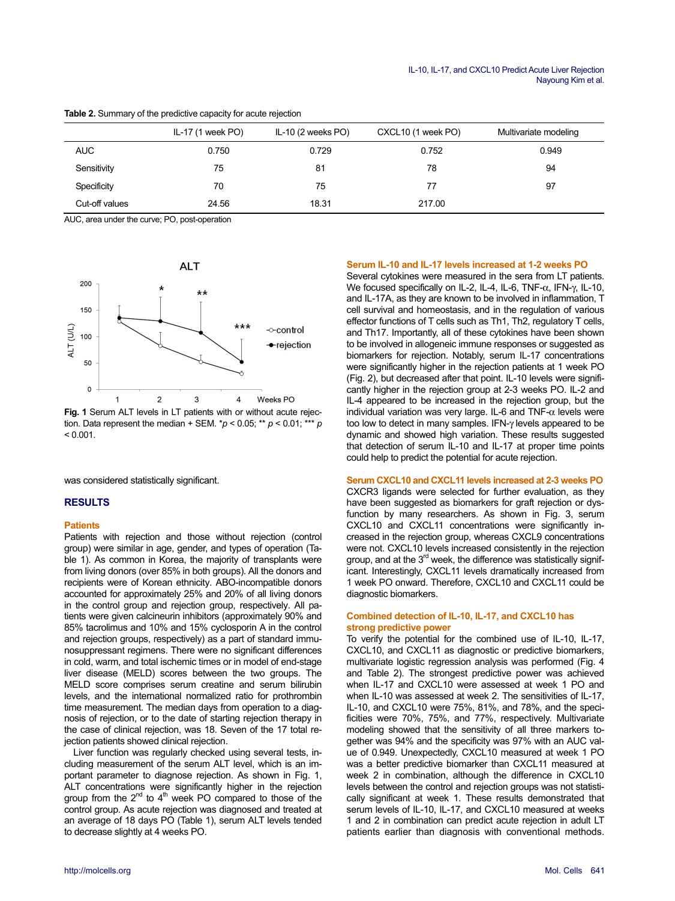|                | IL-17 $(1$ week PO $)$ | IL-10 (2 weeks PO) | CXCL10 (1 week PO) | Multivariate modeling |
|----------------|------------------------|--------------------|--------------------|-----------------------|
| <b>AUC</b>     | 0.750                  | 0.729              | 0.752              | 0.949                 |
| Sensitivity    | 75                     | 81                 | 78                 | 94                    |
| Specificity    | 70                     | 75                 | 77                 | 97                    |
| Cut-off values | 24.56                  | 18.31              | 217.00             |                       |

## **Table 2.** Summary of the predictive capacity for acute rejection

AUC, area under the curve; PO, post-operation



**Fig. 1** Serum ALT levels in LT patients with or without acute rejection. Data represent the median + SEM. \**p* < 0.05; \*\* *p* < 0.01; \*\*\* *p*  $< 0.001$ .

was considered statistically significant.

## **RESULTS**

#### **Patients**

Patients with rejection and those without rejection (control group) were similar in age, gender, and types of operation (Table 1). As common in Korea, the majority of transplants were from living donors (over 85% in both groups). All the donors and recipients were of Korean ethnicity. ABO-incompatible donors accounted for approximately 25% and 20% of all living donors in the control group and rejection group, respectively. All patients were given calcineurin inhibitors (approximately 90% and 85% tacrolimus and 10% and 15% cyclosporin A in the control and rejection groups, respectively) as a part of standard immunosuppressant regimens. There were no significant differences in cold, warm, and total ischemic times or in model of end-stage liver disease (MELD) scores between the two groups. The MELD score comprises serum creatine and serum bilirubin levels, and the international normalized ratio for prothrombin time measurement. The median days from operation to a diagnosis of rejection, or to the date of starting rejection therapy in the case of clinical rejection, was 18. Seven of the 17 total rejection patients showed clinical rejection.

Liver function was regularly checked using several tests, including measurement of the serum ALT level, which is an important parameter to diagnose rejection. As shown in Fig. 1, ALT concentrations were significantly higher in the rejection group from the  $2<sup>nd</sup>$  to  $4<sup>th</sup>$  week PO compared to those of the control group. As acute rejection was diagnosed and treated at an average of 18 days PO (Table 1), serum ALT levels tended to decrease slightly at 4 weeks PO.

#### **Serum IL-10 and IL-17 levels increased at 1-2 weeks PO**

Several cytokines were measured in the sera from LT patients. We focused specifically on IL-2, IL-4, IL-6, TNF-α, IFN-γ, IL-10, and IL-17A, as they are known to be involved in inflammation, T cell survival and homeostasis, and in the regulation of various effector functions of T cells such as Th1, Th2, regulatory T cells, and Th17. Importantly, all of these cytokines have been shown to be involved in allogeneic immune responses or suggested as biomarkers for rejection. Notably, serum IL-17 concentrations were significantly higher in the rejection patients at 1 week PO (Fig. 2), but decreased after that point. IL-10 levels were significantly higher in the rejection group at 2-3 weeks PO. IL-2 and IL-4 appeared to be increased in the rejection group, but the individual variation was very large. IL-6 and TNF- $\alpha$  levels were too low to detect in many samples. IFN-γ levels appeared to be dynamic and showed high variation. These results suggested that detection of serum IL-10 and IL-17 at proper time points could help to predict the potential for acute rejection.

# **Serum CXCL10 and CXCL11 levels increased at 2-3 weeks PO**

CXCR3 ligands were selected for further evaluation, as they have been suggested as biomarkers for graft rejection or dysfunction by many researchers. As shown in Fig. 3, serum CXCL10 and CXCL11 concentrations were significantly increased in the rejection group, whereas CXCL9 concentrations were not. CXCL10 levels increased consistently in the rejection group, and at the 3<sup>rd</sup> week, the difference was statistically significant. Interestingly, CXCL11 levels dramatically increased from 1 week PO onward. Therefore, CXCL10 and CXCL11 could be diagnostic biomarkers.

#### **Combined detection of IL-10, IL-17, and CXCL10 has strong predictive power**

To verify the potential for the combined use of IL-10, IL-17, CXCL10, and CXCL11 as diagnostic or predictive biomarkers, multivariate logistic regression analysis was performed (Fig. 4 and Table 2). The strongest predictive power was achieved when IL-17 and CXCL10 were assessed at week 1 PO and when IL-10 was assessed at week 2. The sensitivities of IL-17, IL-10, and CXCL10 were 75%, 81%, and 78%, and the specificities were 70%, 75%, and 77%, respectively. Multivariate modeling showed that the sensitivity of all three markers together was 94% and the specificity was 97% with an AUC value of 0.949. Unexpectedly, CXCL10 measured at week 1 PO was a better predictive biomarker than CXCL11 measured at week 2 in combination, although the difference in CXCL10 levels between the control and rejection groups was not statistically significant at week 1. These results demonstrated that serum levels of IL-10, IL-17, and CXCL10 measured at weeks 1 and 2 in combination can predict acute rejection in adult LT patients earlier than diagnosis with conventional methods.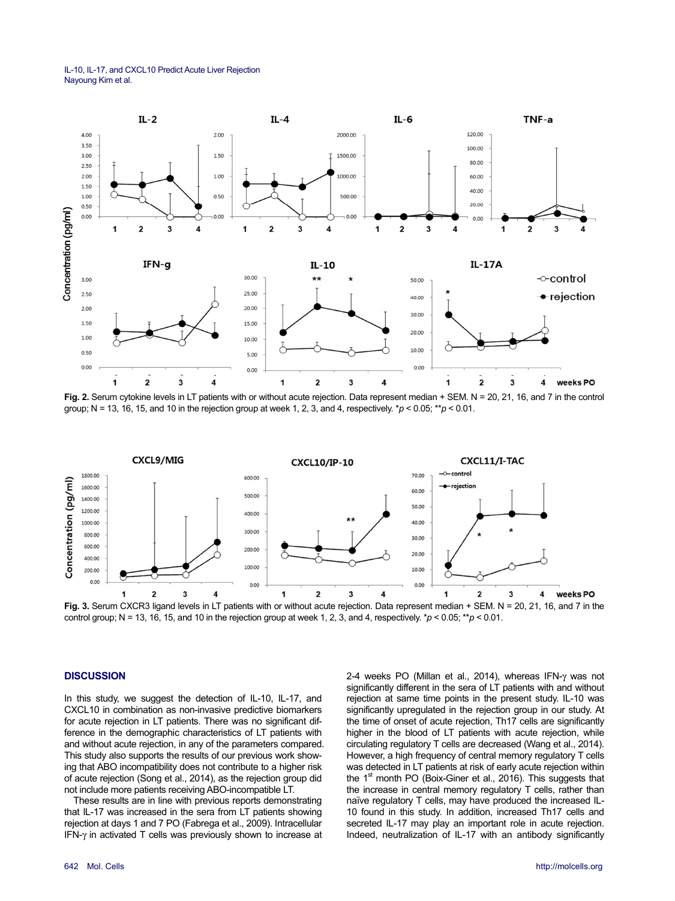IL-10, IL-17, and CXCL10 Predict Acute Liver Rejection Nayoung Kim et al.



Fig. 2. Serum cytokine levels in LT patients with or without acute rejection. Data represent median + SEM, N = 20, 21, 16, and 7 in the control group; N = 13, 16, 15, and 10 in the rejection group at week 1, 2, 3, and 4, respectively. \**p* < 0.05; \*\**p* < 0.01.



**Fig. 3.** Serum CXCR3 ligand levels in LT patients with or without acute rejection. Data represent median + SEM. N = 20, 21, 16, and 7 in the control group; N = 13, 16, 15, and 10 in the rejection group at week 1, 2, 3, and 4, respectively.  $*p < 0.05$ ;  $*p < 0.01$ .

# **DISCUSSION**

In this study, we suggest the detection of IL-10, IL-17, and CXCL10 in combination as non-invasive predictive biomarkers for acute rejection in LT patients. There was no significant difference in the demographic characteristics of LT patients with and without acute rejection, in any of the parameters compared. This study also supports the results of our previous work showing that ABO incompatibility does not contribute to a higher risk of acute rejection (Song et al., 2014), as the rejection group did not include more patients receiving ABO-incompatible LT.

These results are in line with previous reports demonstrating that IL-17 was increased in the sera from LT patients showing rejection at days 1 and 7 PO (Fabrega et al., 2009). Intracellular IFN-γ in activated T cells was previously shown to increase at 2-4 weeks PO (Millan et al., 2014), whereas IFN-γ was not significantly different in the sera of LT patients with and without rejection at same time points in the present study. IL-10 was significantly upregulated in the rejection group in our study. At the time of onset of acute rejection, Th17 cells are significantly higher in the blood of LT patients with acute rejection, while circulating regulatory T cells are decreased (Wang et al., 2014). However, a high frequency of central memory regulatory T cells was detected in LT patients at risk of early acute rejection within the 1<sup>st</sup> month PO (Boix-Giner et al., 2016). This suggests that the increase in central memory regulatory T cells, rather than naïve regulatory T cells, may have produced the increased IL-10 found in this study. In addition, increased Th17 cells and secreted IL-17 may play an important role in acute rejection. Indeed, neutralization of IL-17 with an antibody significantly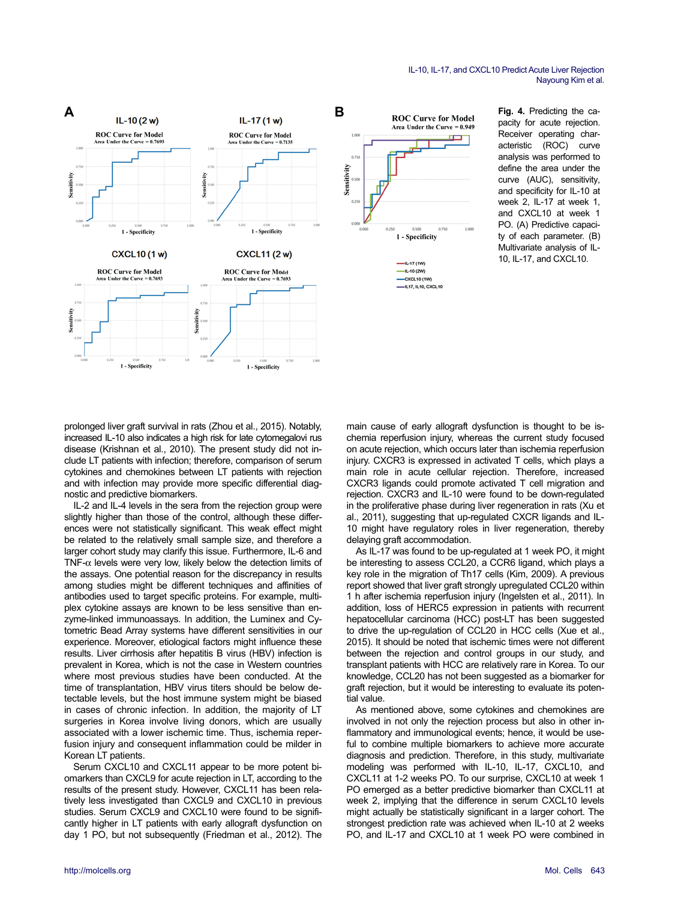

**Fig. 4.** Predicting the capacity for acute rejection. Receiver operating characteristic (ROC) curve analysis was performed to define the area under the curve (AUC), sensitivity, and specificity for IL-10 at week  $2 \,$  II-17 at week 1 and CXCL10 at week 1 PO. (A) Predictive capacity of each parameter. (B) Multivariate analysis of IL-10, IL-17, and CXCL10.

prolonged liver graft survival in rats (Zhou et al., 2015). Notably, increased IL-10 also indicates a high risk for late cytomegalovi rus disease (Krishnan et al., 2010). The present study did not include LT patients with infection; therefore, comparison of serum cytokines and chemokines between LT patients with rejection and with infection may provide more specific differential diagnostic and predictive biomarkers.

IL-2 and IL-4 levels in the sera from the rejection group were slightly higher than those of the control, although these differences were not statistically significant. This weak effect might be related to the relatively small sample size, and therefore a larger cohort study may clarify this issue. Furthermore, IL-6 and TNF-α levels were very low, likely below the detection limits of the assays. One potential reason for the discrepancy in results among studies might be different techniques and affinities of antibodies used to target specific proteins. For example, multiplex cytokine assays are known to be less sensitive than enzyme-linked immunoassays. In addition, the Luminex and Cytometric Bead Array systems have different sensitivities in our experience. Moreover, etiological factors might influence these results. Liver cirrhosis after hepatitis B virus (HBV) infection is prevalent in Korea, which is not the case in Western countries where most previous studies have been conducted. At the time of transplantation, HBV virus titers should be below detectable levels, but the host immune system might be biased in cases of chronic infection. In addition, the majority of LT surgeries in Korea involve living donors, which are usually associated with a lower ischemic time. Thus, ischemia reperfusion injury and consequent inflammation could be milder in Korean LT patients.

Serum CXCL10 and CXCL11 appear to be more potent biomarkers than CXCL9 for acute rejection in LT, according to the results of the present study. However, CXCL11 has been relatively less investigated than CXCL9 and CXCL10 in previous studies. Serum CXCL9 and CXCL10 were found to be significantly higher in LT patients with early allograft dysfunction on day 1 PO, but not subsequently (Friedman et al., 2012). The main cause of early allograft dysfunction is thought to be ischemia reperfusion injury, whereas the current study focused on acute rejection, which occurs later than ischemia reperfusion injury. CXCR3 is expressed in activated T cells, which plays a main role in acute cellular rejection. Therefore, increased CXCR3 ligands could promote activated T cell migration and rejection. CXCR3 and IL-10 were found to be down-regulated in the proliferative phase during liver regeneration in rats (Xu et al., 2011), suggesting that up-regulated CXCR ligands and IL-10 might have regulatory roles in liver regeneration, thereby delaying graft accommodation.

As IL-17 was found to be up-regulated at 1 week PO, it might be interesting to assess CCL20, a CCR6 ligand, which plays a key role in the migration of Th17 cells (Kim, 2009). A previous report showed that liver graft strongly upregulated CCL20 within 1 h after ischemia reperfusion injury (Ingelsten et al., 2011). In addition, loss of HERC5 expression in patients with recurrent hepatocellular carcinoma (HCC) post-LT has been suggested to drive the up-regulation of CCL20 in HCC cells (Xue et al., 2015). It should be noted that ischemic times were not different between the rejection and control groups in our study, and transplant patients with HCC are relatively rare in Korea. To our knowledge, CCL20 has not been suggested as a biomarker for graft rejection, but it would be interesting to evaluate its potential value.

As mentioned above, some cytokines and chemokines are involved in not only the rejection process but also in other inflammatory and immunological events; hence, it would be useful to combine multiple biomarkers to achieve more accurate diagnosis and prediction. Therefore, in this study, multivariate modeling was performed with IL-10, IL-17, CXCL10, and CXCL11 at 1-2 weeks PO. To our surprise, CXCL10 at week 1 PO emerged as a better predictive biomarker than CXCL11 at week 2, implying that the difference in serum CXCL10 levels might actually be statistically significant in a larger cohort. The strongest prediction rate was achieved when IL-10 at 2 weeks PO, and IL-17 and CXCL10 at 1 week PO were combined in